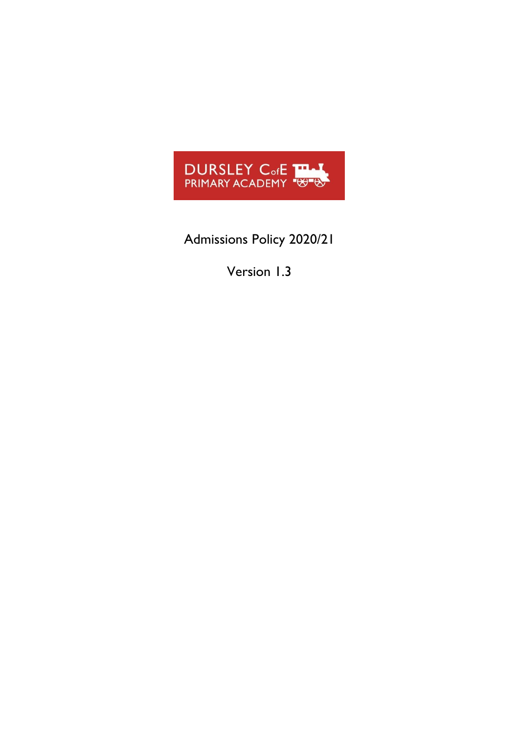

Admissions Policy 2020/21

Version 1.3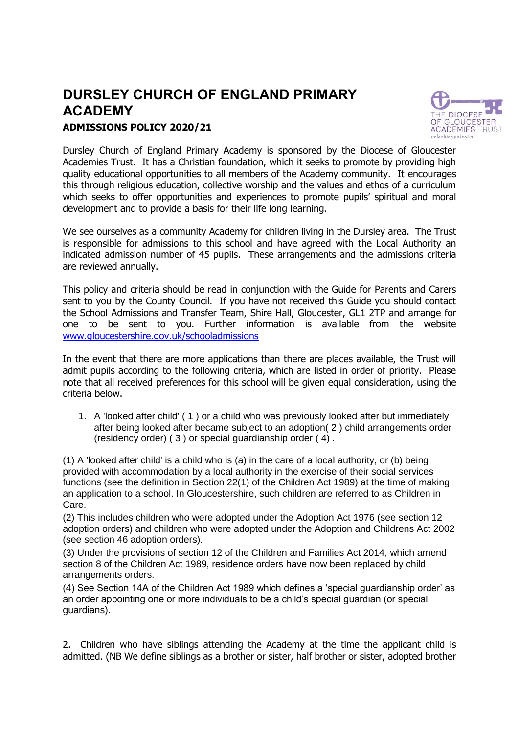# **DURSLEY CHURCH OF ENGLAND PRIMARY ACADEMY ADMISSIONS POLICY 2020/21**



Dursley Church of England Primary Academy is sponsored by the Diocese of Gloucester Academies Trust. It has a Christian foundation, which it seeks to promote by providing high quality educational opportunities to all members of the Academy community. It encourages this through religious education, collective worship and the values and ethos of a curriculum which seeks to offer opportunities and experiences to promote pupils' spiritual and moral development and to provide a basis for their life long learning.

We see ourselves as a community Academy for children living in the Dursley area. The Trust is responsible for admissions to this school and have agreed with the Local Authority an indicated admission number of 45 pupils. These arrangements and the admissions criteria are reviewed annually.

This policy and criteria should be read in conjunction with the Guide for Parents and Carers sent to you by the County Council. If you have not received this Guide you should contact the School Admissions and Transfer Team, Shire Hall, Gloucester, GL1 2TP and arrange for one to be sent to you. Further information is available from the website [www.gloucestershire.gov.uk/schooladmissions](http://www.gloucestershire.gov.uk/schooladmissions)

In the event that there are more applications than there are places available, the Trust will admit pupils according to the following criteria, which are listed in order of priority. Please note that all received preferences for this school will be given equal consideration, using the criteria below.

1. A 'looked after child' ( 1 ) or a child who was previously looked after but immediately after being looked after became subject to an adoption( 2 ) child arrangements order (residency order) ( 3 ) or special guardianship order ( 4) .

(1) A 'looked after child' is a child who is (a) in the care of a local authority, or (b) being provided with accommodation by a local authority in the exercise of their social services functions (see the definition in Section 22(1) of the Children Act 1989) at the time of making an application to a school. In Gloucestershire, such children are referred to as Children in Care.

(2) This includes children who were adopted under the Adoption Act 1976 (see section 12 adoption orders) and children who were adopted under the Adoption and Childrens Act 2002 (see section 46 adoption orders).

(3) Under the provisions of section 12 of the Children and Families Act 2014, which amend section 8 of the Children Act 1989, residence orders have now been replaced by child arrangements orders.

(4) See Section 14A of the Children Act 1989 which defines a 'special guardianship order' as an order appointing one or more individuals to be a child's special guardian (or special quardians).

2. Children who have siblings attending the Academy at the time the applicant child is admitted. (NB We define siblings as a brother or sister, half brother or sister, adopted brother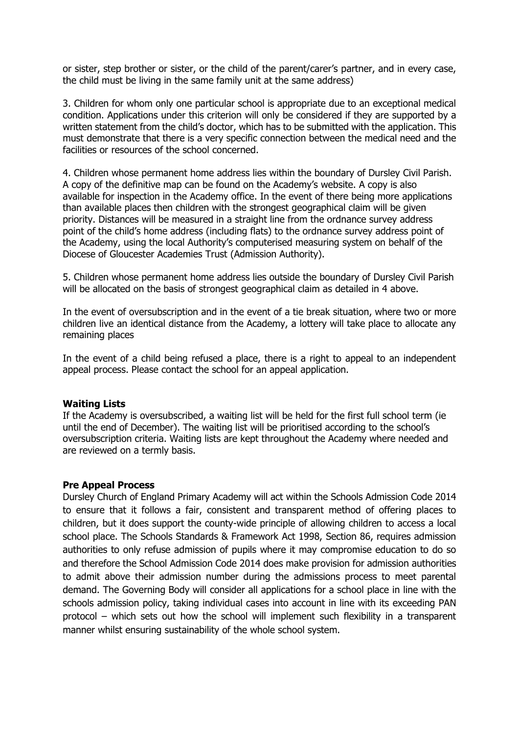or sister, step brother or sister, or the child of the parent/carer's partner, and in every case, the child must be living in the same family unit at the same address)

3. Children for whom only one particular school is appropriate due to an exceptional medical condition. Applications under this criterion will only be considered if they are supported by a written statement from the child's doctor, which has to be submitted with the application. This must demonstrate that there is a very specific connection between the medical need and the facilities or resources of the school concerned.

4. Children whose permanent home address lies within the boundary of Dursley Civil Parish. A copy of the definitive map can be found on the Academy's website. A copy is also available for inspection in the Academy office. In the event of there being more applications than available places then children with the strongest geographical claim will be given priority. Distances will be measured in a straight line from the ordnance survey address point of the child's home address (including flats) to the ordnance survey address point of the Academy, using the local Authority's computerised measuring system on behalf of the Diocese of Gloucester Academies Trust (Admission Authority).

5. Children whose permanent home address lies outside the boundary of Dursley Civil Parish will be allocated on the basis of strongest geographical claim as detailed in 4 above.

In the event of oversubscription and in the event of a tie break situation, where two or more children live an identical distance from the Academy, a lottery will take place to allocate any remaining places

In the event of a child being refused a place, there is a right to appeal to an independent appeal process. Please contact the school for an appeal application.

#### **Waiting Lists**

If the Academy is oversubscribed, a waiting list will be held for the first full school term (ie until the end of December). The waiting list will be prioritised according to the school's oversubscription criteria. Waiting lists are kept throughout the Academy where needed and are reviewed on a termly basis.

#### **Pre Appeal Process**

Dursley Church of England Primary Academy will act within the Schools Admission Code 2014 to ensure that it follows a fair, consistent and transparent method of offering places to children, but it does support the county-wide principle of allowing children to access a local school place. The Schools Standards & Framework Act 1998, Section 86, requires admission authorities to only refuse admission of pupils where it may compromise education to do so and therefore the School Admission Code 2014 does make provision for admission authorities to admit above their admission number during the admissions process to meet parental demand. The Governing Body will consider all applications for a school place in line with the schools admission policy, taking individual cases into account in line with its exceeding PAN protocol – which sets out how the school will implement such flexibility in a transparent manner whilst ensuring sustainability of the whole school system.